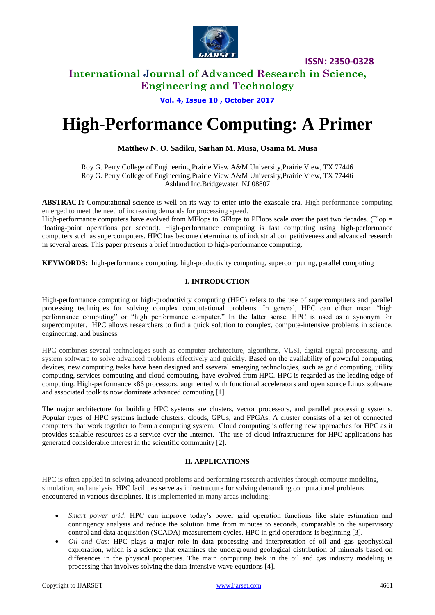

**ISSN: 2350-0328**

# **International Journal of Advanced Research in Science, Engineering and Technology**

# **Vol. 4, Issue 10 , October 2017**

# **High-Performance Computing: A Primer**

# **Matthew N. O. Sadiku, Sarhan M. Musa, Osama M. Musa**

Roy G. Perry College of Engineering,Prairie View A&M University,Prairie View, TX 77446 Roy G. Perry College of Engineering,Prairie View A&M University,Prairie View, TX 77446 Ashland Inc.Bridgewater, NJ 08807

**ABSTRACT:** Computational science is well on its way to enter into the exascale era. High-performance computing emerged to meet the need of increasing demands for processing speed.

High-performance computers have evolved from MFlops to GFlops to PFlops scale over the past two decades. (Flop  $=$ floating-point operations per second). High-performance computing is fast computing using high-performance computers such as supercomputers. HPC has become determinants of industrial competitiveness and advanced research in several areas. This paper presents a brief introduction to high-performance computing.

**KEYWORDS:** high-performance computing, high-productivity computing, supercomputing, parallel computing

## **I. INTRODUCTION**

High-performance computing or high-productivity computing (HPC) refers to the use of supercomputers and parallel processing techniques for solving complex computational problems. In general, HPC can either mean "high performance computing" or "high performance computer." In the latter sense, HPC is used as a synonym for supercomputer. HPC allows researchers to find a quick solution to complex, compute-intensive problems in science, engineering, and business.

HPC combines several technologies such as computer architecture, algorithms, VLSI, digital signal processing, and system software to solve advanced problems effectively and quickly. Based on the availability of powerful computing devices, new computing tasks have been designed and sseveral emerging technologies, such as grid computing, utility computing, services computing and cloud computing, have evolved from HPC. HPC is regarded as the leading edge of computing. High-performance x86 processors, augmented with functional accelerators and open source Linux software and associated toolkits now dominate advanced computing [1].

The major architecture for building HPC systems are clusters, vector processors, and parallel processing systems. Popular types of HPC systems include clusters, clouds, GPUs, and FPGAs. A cluster consists of a set of connected computers that work together to form a computing system. Cloud computing is offering new approaches for HPC as it provides scalable resources as a service over the Internet. The use of cloud infrastructures for HPC applications has generated considerable interest in the scientific community [2].

## **II. APPLICATIONS**

HPC is often applied in solving advanced problems and performing research activities through computer modeling, simulation, and analysis. HPC facilities serve as infrastructure for solving demanding computational problems encountered in various disciplines. It is implemented in many areas including:

- *Smart power grid*: HPC can improve today's power grid operation functions like state estimation and contingency analysis and reduce the solution time from minutes to seconds, comparable to the supervisory control and data acquisition (SCADA) measurement cycles. HPC in grid operations is beginning [3].
- *Oil and Gas*: HPC plays a major role in data processing and interpretation of oil and gas geophysical exploration, which is a science that examines the underground geological distribution of minerals based on differences in the physical properties. The main computing task in the oil and gas industry modeling is processing that involves solving the data-intensive wave equations [4].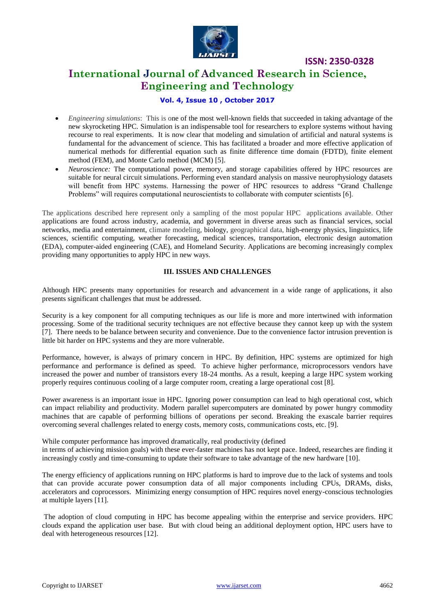

**ISSN: 2350-0328**

# **International Journal of Advanced Research in Science, Engineering and Technology**

## **Vol. 4, Issue 10 , October 2017**

- *Engineering simulations*: This is one of the most well-known fields that succeeded in taking advantage of the new skyrocketing HPC. Simulation is an indispensable tool for researchers to explore systems without having recourse to real experiments. It is now clear that modeling and simulation of artificial and natural systems is fundamental for the advancement of science. This has facilitated a broader and more effective application of numerical methods for differential equation such as finite difference time domain (FDTD), finite element method (FEM), and Monte Carlo method (MCM) [5].
- *Neuroscience:* The computational power, memory, and storage capabilities offered by HPC resources are suitable for neural circuit simulations. Performing even standard analysis on massive neurophysiology datasets will benefit from HPC systems. Harnessing the power of HPC resources to address "Grand Challenge Problems" will requires computational neuroscientists to collaborate with computer scientists [6].

The applications described here represent only a sampling of the most popular HPC applications available. Other applications are found across industry, academia, and government in diverse areas such as financial services, social networks, media and entertainment, climate modeling, biology, geographical data, high-energy physics, linguistics, life sciences, scientific computing, weather forecasting, medical sciences, transportation, electronic design automation (EDA), computer-aided engineering (CAE), and Homeland Security. Applications are becoming increasingly complex providing many opportunities to apply HPC in new ways.

## **III. ISSUES AND CHALLENGES**

Although HPC presents many opportunities for research and advancement in a wide range of applications, it also presents significant challenges that must be addressed.

Security is a key component for all computing techniques as our life is more and more intertwined with information processing. Some of the traditional security techniques are not effective because they cannot keep up with the system [7]. There needs to be balance between security and convenience. Due to the convenience factor intrusion prevention is little bit harder on HPC systems and they are more vulnerable.

Performance, however, is always of primary concern in HPC. By definition, HPC systems are optimized for high performance and performance is defined as speed. To achieve higher performance, microprocessors vendors have increased the power and number of transistors every 18-24 months. As a result, keeping a large HPC system working properly requires continuous cooling of a large computer room, creating a large operational cost [8].

Power awareness is an important issue in HPC. Ignoring power consumption can lead to high operational cost, which can impact reliability and productivity. Modern parallel supercomputers are dominated by power hungry commodity machines that are capable of performing billions of operations per second. Breaking the exascale barrier requires overcoming several challenges related to energy costs, memory costs, communications costs, etc. [9].

While computer performance has improved dramatically, real productivity (defined in terms of achieving mission goals) with these ever-faster machines has not kept pace. Indeed, researches are finding it increasingly costly and time-consuming to update their software to take advantage of the new hardware [10].

The energy efficiency of applications running on HPC platforms is hard to improve due to the lack of systems and tools that can provide accurate power consumption data of all major components including CPUs, DRAMs, disks, accelerators and coprocessors. Minimizing energy consumption of HPC requires novel energy-conscious technologies at multiple layers [11].

The adoption of cloud computing in HPC has become appealing within the enterprise and service providers. HPC clouds expand the application user base. But with cloud being an additional deployment option, HPC users have to deal with heterogeneous resources [12].